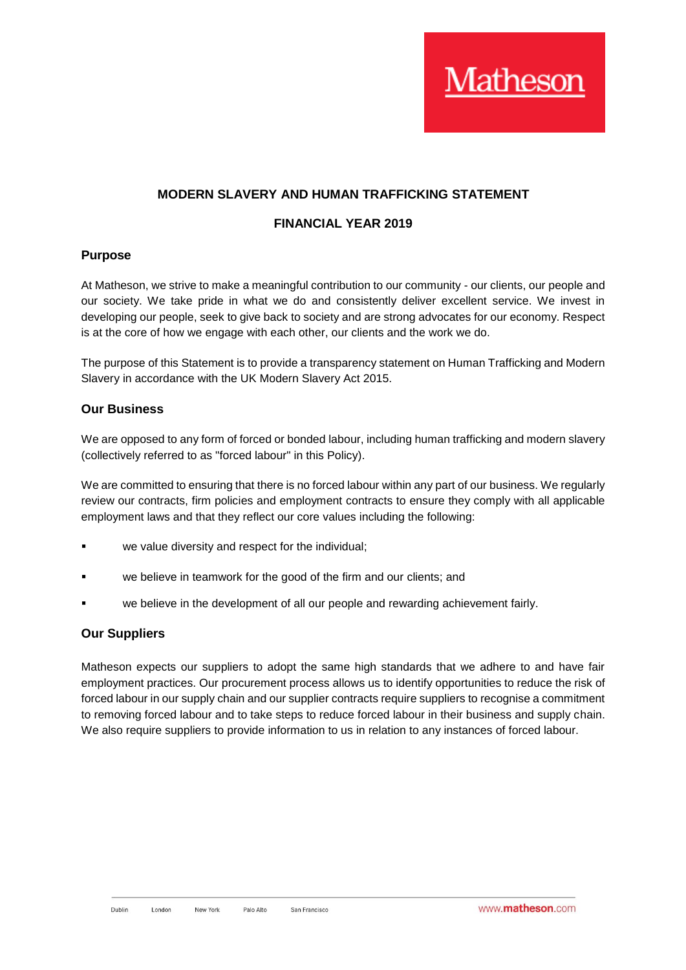## **MODERN SLAVERY AND HUMAN TRAFFICKING STATEMENT**

### **FINANCIAL YEAR 2019**

#### **Purpose**

At Matheson, we strive to make a meaningful contribution to our community - our clients, our people and our society. We take pride in what we do and consistently deliver excellent service. We invest in developing our people, seek to give back to society and are strong advocates for our economy. Respect is at the core of how we engage with each other, our clients and the work we do.

The purpose of this Statement is to provide a transparency statement on Human Trafficking and Modern Slavery in accordance with the UK Modern Slavery Act 2015.

#### **Our Business**

We are opposed to any form of forced or bonded labour, including human trafficking and modern slavery (collectively referred to as "forced labour" in this Policy).

We are committed to ensuring that there is no forced labour within any part of our business. We regularly review our contracts, firm policies and employment contracts to ensure they comply with all applicable employment laws and that they reflect our core values including the following:

- we value diversity and respect for the individual;
- we believe in teamwork for the good of the firm and our clients; and
- we believe in the development of all our people and rewarding achievement fairly.

#### **Our Suppliers**

Matheson expects our suppliers to adopt the same high standards that we adhere to and have fair employment practices. Our procurement process allows us to identify opportunities to reduce the risk of forced labour in our supply chain and our supplier contracts require suppliers to recognise a commitment to removing forced labour and to take steps to reduce forced labour in their business and supply chain. We also require suppliers to provide information to us in relation to any instances of forced labour.

*Tatheson*